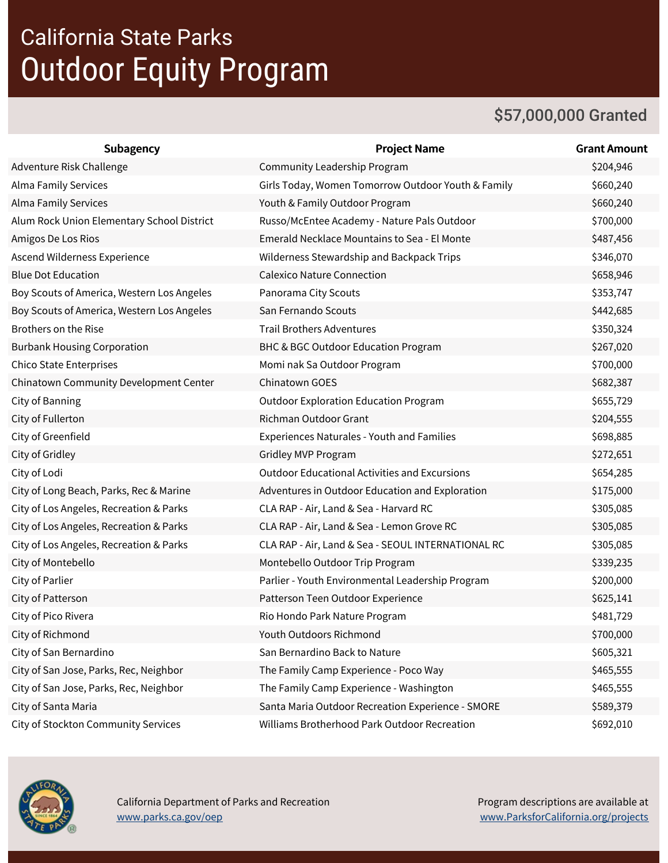## California State Parks Outdoor Equity Program

#### \$57,000,000 Granted

| Subagency                                  | <b>Project Name</b>                                  | <b>Grant Amount</b> |
|--------------------------------------------|------------------------------------------------------|---------------------|
| Adventure Risk Challenge                   | Community Leadership Program                         | \$204,946           |
| <b>Alma Family Services</b>                | Girls Today, Women Tomorrow Outdoor Youth & Family   | \$660,240           |
| <b>Alma Family Services</b>                | Youth & Family Outdoor Program                       | \$660,240           |
| Alum Rock Union Elementary School District | Russo/McEntee Academy - Nature Pals Outdoor          | \$700,000           |
| Amigos De Los Rios                         | Emerald Necklace Mountains to Sea - El Monte         | \$487,456           |
| Ascend Wilderness Experience               | Wilderness Stewardship and Backpack Trips            | \$346,070           |
| <b>Blue Dot Education</b>                  | <b>Calexico Nature Connection</b>                    | \$658,946           |
| Boy Scouts of America, Western Los Angeles | Panorama City Scouts                                 | \$353,747           |
| Boy Scouts of America, Western Los Angeles | San Fernando Scouts                                  | \$442,685           |
| Brothers on the Rise                       | <b>Trail Brothers Adventures</b>                     | \$350,324           |
| <b>Burbank Housing Corporation</b>         | BHC & BGC Outdoor Education Program                  | \$267,020           |
| <b>Chico State Enterprises</b>             | Momi nak Sa Outdoor Program                          | \$700,000           |
| Chinatown Community Development Center     | Chinatown GOES                                       | \$682,387           |
| City of Banning                            | <b>Outdoor Exploration Education Program</b>         | \$655,729           |
| City of Fullerton                          | <b>Richman Outdoor Grant</b>                         | \$204,555           |
| City of Greenfield                         | <b>Experiences Naturales - Youth and Families</b>    | \$698,885           |
| City of Gridley                            | Gridley MVP Program                                  | \$272,651           |
| City of Lodi                               | <b>Outdoor Educational Activities and Excursions</b> | \$654,285           |
| City of Long Beach, Parks, Rec & Marine    | Adventures in Outdoor Education and Exploration      | \$175,000           |
| City of Los Angeles, Recreation & Parks    | CLA RAP - Air, Land & Sea - Harvard RC               | \$305,085           |
| City of Los Angeles, Recreation & Parks    | CLA RAP - Air, Land & Sea - Lemon Grove RC           | \$305,085           |
| City of Los Angeles, Recreation & Parks    | CLA RAP - Air, Land & Sea - SEOUL INTERNATIONAL RC   | \$305,085           |
| City of Montebello                         | Montebello Outdoor Trip Program                      | \$339,235           |
| City of Parlier                            | Parlier - Youth Environmental Leadership Program     | \$200,000           |
| City of Patterson                          | Patterson Teen Outdoor Experience                    | \$625,141           |
| City of Pico Rivera                        | Rio Hondo Park Nature Program                        | \$481,729           |
| City of Richmond                           | Youth Outdoors Richmond                              | \$700,000           |
| City of San Bernardino                     | San Bernardino Back to Nature                        | \$605,321           |
| City of San Jose, Parks, Rec, Neighbor     | The Family Camp Experience - Poco Way                | \$465,555           |
| City of San Jose, Parks, Rec, Neighbor     | The Family Camp Experience - Washington              | \$465,555           |
| City of Santa Maria                        | Santa Maria Outdoor Recreation Experience - SMORE    | \$589,379           |
| City of Stockton Community Services        | Williams Brotherhood Park Outdoor Recreation         | \$692,010           |



 California Department of Parks and Recreation [www.parks.ca.gov/oep](https://www.parks.ca.gov/oep)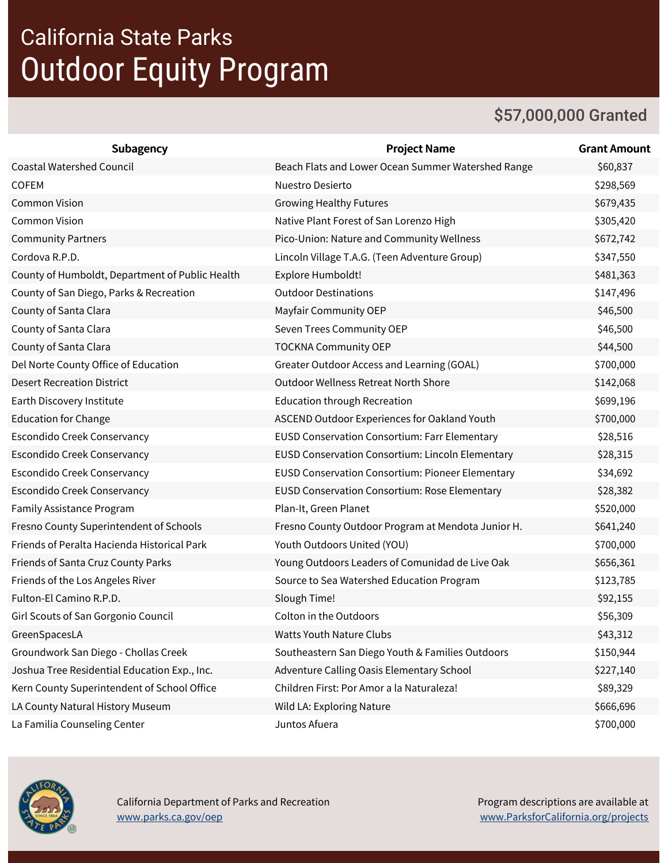## California State Parks Outdoor Equity Program

#### \$57,000,000 Granted

| <b>Subagency</b>                                | <b>Project Name</b>                                  | <b>Grant Amount</b> |
|-------------------------------------------------|------------------------------------------------------|---------------------|
| <b>Coastal Watershed Council</b>                | Beach Flats and Lower Ocean Summer Watershed Range   | \$60,837            |
| <b>COFEM</b>                                    | Nuestro Desierto                                     | \$298,569           |
| <b>Common Vision</b>                            | <b>Growing Healthy Futures</b>                       | \$679,435           |
| <b>Common Vision</b>                            | Native Plant Forest of San Lorenzo High              | \$305,420           |
| <b>Community Partners</b>                       | Pico-Union: Nature and Community Wellness            | \$672,742           |
| Cordova R.P.D.                                  | Lincoln Village T.A.G. (Teen Adventure Group)        | \$347,550           |
| County of Humboldt, Department of Public Health | Explore Humboldt!                                    | \$481,363           |
| County of San Diego, Parks & Recreation         | <b>Outdoor Destinations</b>                          | \$147,496           |
| County of Santa Clara                           | Mayfair Community OEP                                | \$46,500            |
| County of Santa Clara                           | Seven Trees Community OEP                            | \$46,500            |
| County of Santa Clara                           | <b>TOCKNA Community OEP</b>                          | \$44,500            |
| Del Norte County Office of Education            | Greater Outdoor Access and Learning (GOAL)           | \$700,000           |
| <b>Desert Recreation District</b>               | <b>Outdoor Wellness Retreat North Shore</b>          | \$142,068           |
| Earth Discovery Institute                       | <b>Education through Recreation</b>                  | \$699,196           |
| <b>Education for Change</b>                     | ASCEND Outdoor Experiences for Oakland Youth         | \$700,000           |
| Escondido Creek Conservancy                     | <b>EUSD Conservation Consortium: Farr Elementary</b> | \$28,516            |
| Escondido Creek Conservancy                     | EUSD Conservation Consortium: Lincoln Elementary     | \$28,315            |
| Escondido Creek Conservancy                     | EUSD Conservation Consortium: Pioneer Elementary     | \$34,692            |
| Escondido Creek Conservancy                     | EUSD Conservation Consortium: Rose Elementary        | \$28,382            |
| Family Assistance Program                       | Plan-It, Green Planet                                | \$520,000           |
| Fresno County Superintendent of Schools         | Fresno County Outdoor Program at Mendota Junior H.   | \$641,240           |
| Friends of Peralta Hacienda Historical Park     | Youth Outdoors United (YOU)                          | \$700,000           |
| Friends of Santa Cruz County Parks              | Young Outdoors Leaders of Comunidad de Live Oak      | \$656,361           |
| Friends of the Los Angeles River                | Source to Sea Watershed Education Program            | \$123,785           |
| Fulton-El Camino R.P.D.                         | Slough Time!                                         | \$92,155            |
| Girl Scouts of San Gorgonio Council             | Colton in the Outdoors                               | \$56,309            |
| GreenSpacesLA                                   | <b>Watts Youth Nature Clubs</b>                      | \$43,312            |
| Groundwork San Diego - Chollas Creek            | Southeastern San Diego Youth & Families Outdoors     | \$150,944           |
| Joshua Tree Residential Education Exp., Inc.    | Adventure Calling Oasis Elementary School            | \$227,140           |
| Kern County Superintendent of School Office     | Children First: Por Amor a la Naturaleza!            | \$89,329            |
| LA County Natural History Museum                | Wild LA: Exploring Nature                            | \$666,696           |
| La Familia Counseling Center                    | Juntos Afuera                                        | \$700,000           |

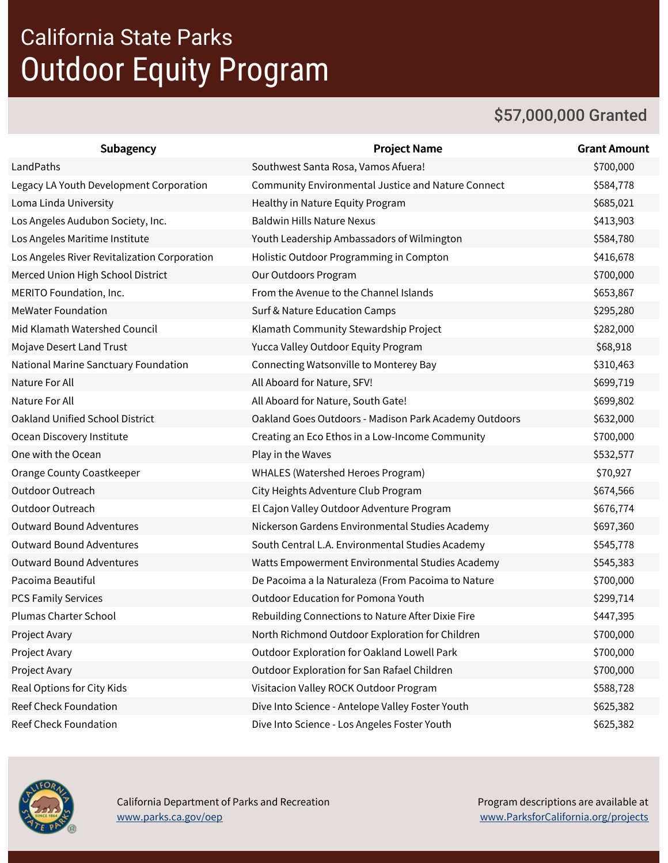## California State Parks Outdoor Equity Program

### \$57,000,000 Granted

| <b>Subagency</b>                             | <b>Project Name</b>                                       | <b>Grant Amount</b> |
|----------------------------------------------|-----------------------------------------------------------|---------------------|
| LandPaths                                    | Southwest Santa Rosa, Vamos Afuera!                       | \$700,000           |
| Legacy LA Youth Development Corporation      | <b>Community Environmental Justice and Nature Connect</b> | \$584,778           |
| Loma Linda University                        | Healthy in Nature Equity Program                          | \$685,021           |
| Los Angeles Audubon Society, Inc.            | <b>Baldwin Hills Nature Nexus</b>                         | \$413,903           |
| Los Angeles Maritime Institute               | Youth Leadership Ambassadors of Wilmington                | \$584,780           |
| Los Angeles River Revitalization Corporation | Holistic Outdoor Programming in Compton                   | \$416,678           |
| Merced Union High School District            | Our Outdoors Program                                      | \$700,000           |
| MERITO Foundation, Inc.                      | From the Avenue to the Channel Islands                    | \$653,867           |
| <b>MeWater Foundation</b>                    | Surf & Nature Education Camps                             | \$295,280           |
| Mid Klamath Watershed Council                | Klamath Community Stewardship Project                     | \$282,000           |
| Mojave Desert Land Trust                     | Yucca Valley Outdoor Equity Program                       | \$68,918            |
| National Marine Sanctuary Foundation         | Connecting Watsonville to Monterey Bay                    | \$310,463           |
| Nature For All                               | All Aboard for Nature, SFV!                               | \$699,719           |
| Nature For All                               | All Aboard for Nature, South Gate!                        | \$699,802           |
| Oakland Unified School District              | Oakland Goes Outdoors - Madison Park Academy Outdoors     | \$632,000           |
| Ocean Discovery Institute                    | Creating an Eco Ethos in a Low-Income Community           | \$700,000           |
| One with the Ocean                           | Play in the Waves                                         | \$532,577           |
| Orange County Coastkeeper                    | WHALES (Watershed Heroes Program)                         | \$70,927            |
| Outdoor Outreach                             | City Heights Adventure Club Program                       | \$674,566           |
| Outdoor Outreach                             | El Cajon Valley Outdoor Adventure Program                 | \$676,774           |
| <b>Outward Bound Adventures</b>              | Nickerson Gardens Environmental Studies Academy           | \$697,360           |
| <b>Outward Bound Adventures</b>              | South Central L.A. Environmental Studies Academy          | \$545,778           |
| <b>Outward Bound Adventures</b>              | Watts Empowerment Environmental Studies Academy           | \$545,383           |
| Pacoima Beautiful                            | De Pacoima a la Naturaleza (From Pacoima to Nature        | \$700,000           |
| <b>PCS Family Services</b>                   | <b>Outdoor Education for Pomona Youth</b>                 | \$299,714           |
| <b>Plumas Charter School</b>                 | Rebuilding Connections to Nature After Dixie Fire         | \$447,395           |
| Project Avary                                | North Richmond Outdoor Exploration for Children           | \$700,000           |
| Project Avary                                | Outdoor Exploration for Oakland Lowell Park               | \$700,000           |
| Project Avary                                | Outdoor Exploration for San Rafael Children               | \$700,000           |
| Real Options for City Kids                   | Visitacion Valley ROCK Outdoor Program                    | \$588,728           |
| Reef Check Foundation                        | Dive Into Science - Antelope Valley Foster Youth          | \$625,382           |
| Reef Check Foundation                        | Dive Into Science - Los Angeles Foster Youth              | \$625,382           |



 California Department of Parks and Recreation [www.parks.ca.gov/oep](https://www.parks.ca.gov/oep)